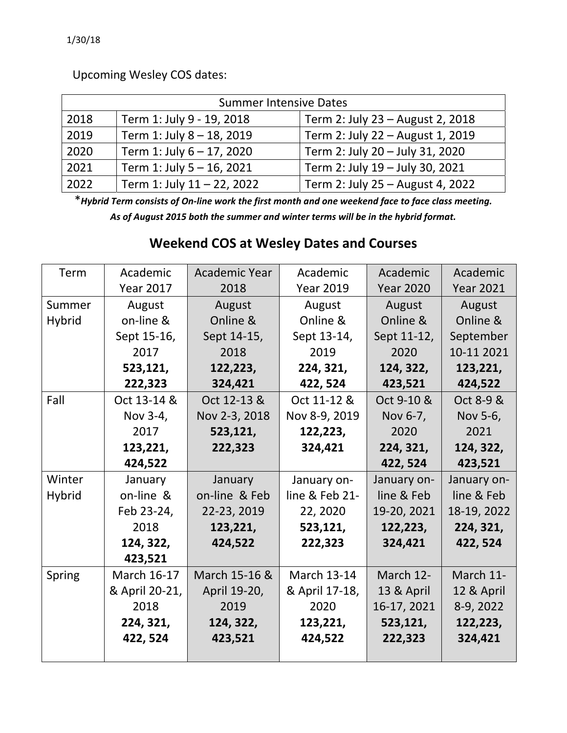Upcoming Wesley COS dates:

| <b>Summer Intensive Dates</b> |                            |                                  |  |  |  |  |
|-------------------------------|----------------------------|----------------------------------|--|--|--|--|
| 2018                          | Term 1: July 9 - 19, 2018  | Term 2: July 23 - August 2, 2018 |  |  |  |  |
| 2019                          | Term 1: July 8 - 18, 2019  | Term 2: July 22 - August 1, 2019 |  |  |  |  |
| 2020                          | Term 1: July 6 - 17, 2020  | Term 2: July 20 - July 31, 2020  |  |  |  |  |
| 2021                          | Term 1: July 5 - 16, 2021  | Term 2: July 19 - July 30, 2021  |  |  |  |  |
| 2022                          | Term 1: July 11 - 22, 2022 | Term 2: July 25 - August 4, 2022 |  |  |  |  |

\* Hybrid Term consists of On-line work the first month and one weekend face to face class meeting. *As of August 2015 both the summer and winter terms will be in the hybrid format.*

## **Weekend COS at Wesley Dates and Courses**

| Term          | Academic         | <b>Academic Year</b>       | Academic           | Academic         | Academic         |
|---------------|------------------|----------------------------|--------------------|------------------|------------------|
|               | <b>Year 2017</b> | 2018                       | <b>Year 2019</b>   | <b>Year 2020</b> | <b>Year 2021</b> |
| Summer        | August           | August<br>August<br>August |                    | August           |                  |
| <b>Hybrid</b> | on-line &        | Online &                   | Online &           | Online &         | Online &         |
|               | Sept 15-16,      | Sept 14-15,                | Sept 13-14,        | Sept 11-12,      | September        |
|               | 2017             | 2018                       | 2019               | 2020             | 10-11 2021       |
|               | 523,121,         | 122,223,                   | 224, 321,          | 124, 322,        | 123,221,         |
|               | 222,323          | 324,421                    | 422, 524           | 423,521          | 424,522          |
| Fall          | Oct 13-14 &      | Oct 12-13 &                | Oct 11-12 &        | Oct 9-10 &       | Oct 8-9 &        |
|               | Nov 3-4,         | Nov 2-3, 2018              | Nov 8-9, 2019      | Nov 6-7,         | Nov 5-6,         |
|               | 2017             | 523,121,                   | 122,223,           | 2020             | 2021             |
|               | 123,221,         | 222,323                    | 324,421            | 224, 321,        | 124, 322,        |
|               | 424,522          |                            |                    | 422, 524         | 423,521          |
| Winter        | January          | January                    | January on-        | January on-      | January on-      |
| <b>Hybrid</b> | on-line &        | on-line & Feb              | line & Feb 21-     | line & Feb       | line & Feb       |
|               | Feb 23-24,       | 22-23, 2019                | 22, 2020           | 19-20, 2021      | 18-19, 2022      |
|               | 2018             | 123,221,                   | 523,121,           | 122,223,         | 224, 321,        |
|               | 124, 322,        | 424,522                    | 222,323            | 324,421          | 422, 524         |
|               | 423,521          |                            |                    |                  |                  |
| Spring        | March 16-17      | March 15-16 &              | <b>March 13-14</b> | March 12-        | March 11-        |
|               | & April 20-21,   | April 19-20,               | & April 17-18,     | 13 & April       | 12 & April       |
|               | 2018             | 2019                       | 2020               | 16-17, 2021      | 8-9, 2022        |
|               | 224, 321,        | 124, 322,                  | 123,221,           | 523,121,         | 122,223,         |
|               | 422, 524         | 423,521                    | 424,522            | 222,323          | 324,421          |
|               |                  |                            |                    |                  |                  |